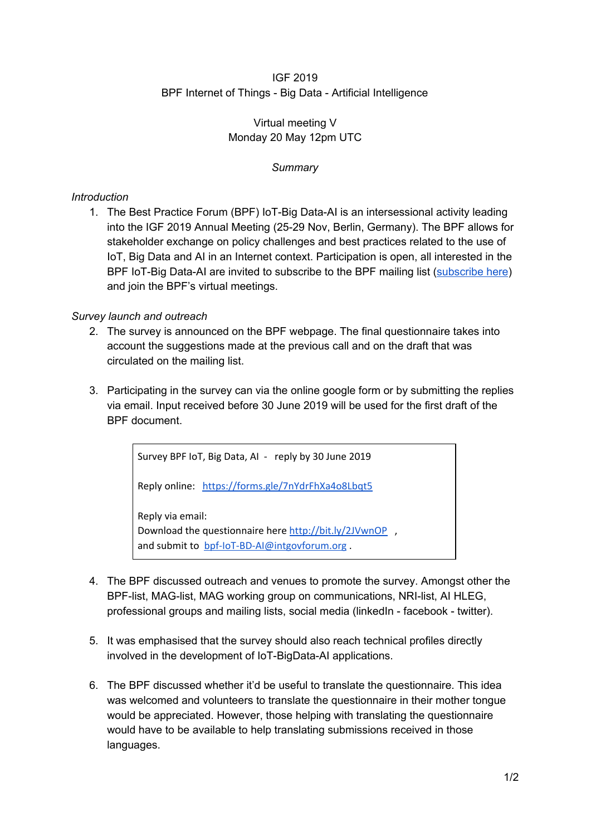### IGF 2019 BPF Internet of Things - Big Data - Artificial Intelligence

## Virtual meeting V Monday 20 May 12pm UTC

## *Summary*

# *Introduction*

1. The Best Practice Forum (BPF) IoT-Big Data-AI is an intersessional activity leading into the IGF 2019 Annual Meeting (25-29 Nov, Berlin, Germany). The BPF allows for stakeholder exchange on policy challenges and best practices related to the use of IoT, Big Data and AI in an Internet context. Participation is open, all interested in the BPF IoT-Big Data-AI are invited to subscribe to the BPF mailing list ([subscribe](https://intgovforum.org/mailman/listinfo/aiiotbd_intgovforum.org) here) and join the BPF's virtual meetings.

### *Survey launch and outreach*

- 2. The survey is announced on the BPF webpage. The final questionnaire takes into account the suggestions made at the previous call and on the draft that was circulated on the mailing list.
- 3. Participating in the survey can via the online google form or by submitting the replies via email. Input received before 30 June 2019 will be used for the first draft of the BPF document.

Survey BPF IoT, Big Data, AI - reply by 30 June 2019 Reply online: <https://forms.gle/7nYdrFhXa4o8Lbqt5> Reply via email: Download the questionnaire here <http://bit.ly/2JVwnOP>, and submit to [bpf-IoT-BD-AI@intgovforum.org](mailto:bpf-IoT-BD-AI@intgovforum.org).

- 4. The BPF discussed outreach and venues to promote the survey. Amongst other the BPF-list, MAG-list, MAG working group on communications, NRI-list, AI HLEG, professional groups and mailing lists, social media (linkedIn - facebook - twitter).
- 5. It was emphasised that the survey should also reach technical profiles directly involved in the development of IoT-BigData-AI applications.
- 6. The BPF discussed whether it'd be useful to translate the questionnaire. This idea was welcomed and volunteers to translate the questionnaire in their mother tongue would be appreciated. However, those helping with translating the questionnaire would have to be available to help translating submissions received in those languages.